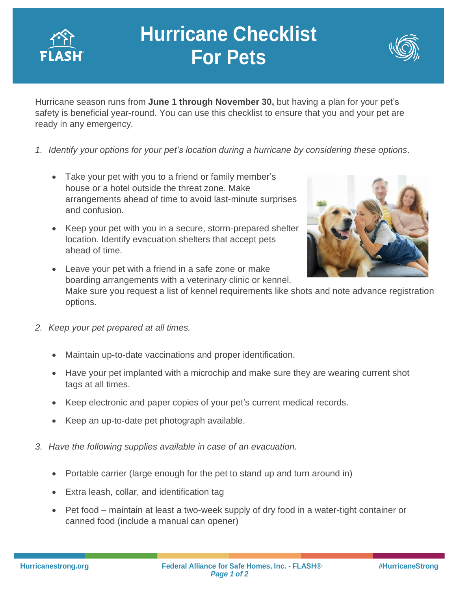

## **Hurricane Checklist For Pets**



Hurricane season runs from **June 1 through November 30,** but having a plan for your pet's safety is beneficial year-round. You can use this checklist to ensure that you and your pet are ready in any emergency.

- *1. Identify your options for your pet's location during a hurricane by considering these options.*
	- Take your pet with you to a friend or family member's house or a hotel outside the threat zone. Make arrangements ahead of time to avoid last-minute surprises and confusion.
	- Keep your pet with you in a secure, storm-prepared shelter location. Identify evacuation shelters that accept pets ahead of time.



• Leave your pet with a friend in a safe zone or make boarding arrangements with a veterinary clinic or kennel.

Make sure you request a list of kennel requirements like shots and note advance registration options.

- *2. Keep your pet prepared at all times.*
	- Maintain up-to-date vaccinations and proper identification.
	- Have your pet implanted with a microchip and make sure they are wearing current shot tags at all times.
	- Keep electronic and paper copies of your pet's current medical records.
	- Keep an up-to-date pet photograph available.
- *3. Have the following supplies available in case of an evacuation.*
	- Portable carrier (large enough for the pet to stand up and turn around in)
	- Extra leash, collar, and identification tag
	- Pet food maintain at least a two-week supply of dry food in a water-tight container or canned food (include a manual can opener)